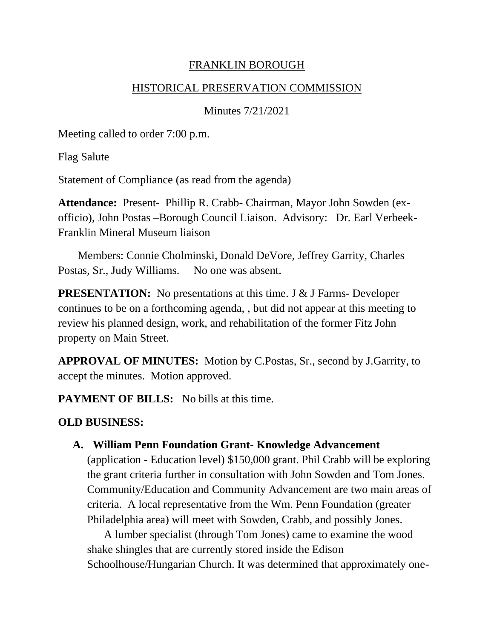### FRANKLIN BOROUGH

#### HISTORICAL PRESERVATION COMMISSION

Minutes 7/21/2021

Meeting called to order 7:00 p.m.

Flag Salute

Statement of Compliance (as read from the agenda)

**Attendance:** Present- Phillip R. Crabb- Chairman, Mayor John Sowden (exofficio), John Postas –Borough Council Liaison. Advisory: Dr. Earl Verbeek-Franklin Mineral Museum liaison

 Members: Connie Cholminski, Donald DeVore, Jeffrey Garrity, Charles Postas, Sr., Judy Williams. No one was absent.

**PRESENTATION:** No presentations at this time. J & J Farms- Developer continues to be on a forthcoming agenda, , but did not appear at this meeting to review his planned design, work, and rehabilitation of the former Fitz John property on Main Street.

**APPROVAL OF MINUTES:** Motion by C.Postas, Sr., second by J.Garrity, to accept the minutes. Motion approved.

**PAYMENT OF BILLS:** No bills at this time.

# **OLD BUSINESS:**

## **A. William Penn Foundation Grant- Knowledge Advancement**

(application - Education level) \$150,000 grant. Phil Crabb will be exploring the grant criteria further in consultation with John Sowden and Tom Jones. Community/Education and Community Advancement are two main areas of criteria. A local representative from the Wm. Penn Foundation (greater Philadelphia area) will meet with Sowden, Crabb, and possibly Jones.

 A lumber specialist (through Tom Jones) came to examine the wood shake shingles that are currently stored inside the Edison Schoolhouse/Hungarian Church. It was determined that approximately one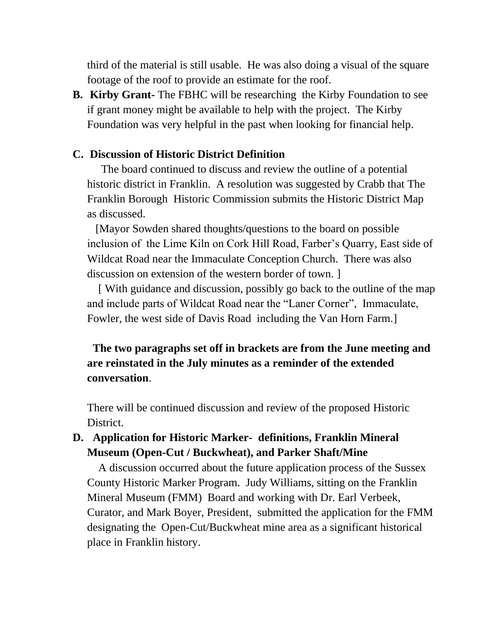third of the material is still usable. He was also doing a visual of the square footage of the roof to provide an estimate for the roof.

**B. Kirby Grant-** The FBHC will be researching the Kirby Foundation to see if grant money might be available to help with the project. The Kirby Foundation was very helpful in the past when looking for financial help.

#### **C. Discussion of Historic District Definition**

The board continued to discuss and review the outline of a potential historic district in Franklin. A resolution was suggested by Crabb that The Franklin Borough Historic Commission submits the Historic District Map as discussed.

 [Mayor Sowden shared thoughts/questions to the board on possible inclusion of the Lime Kiln on Cork Hill Road, Farber's Quarry, East side of Wildcat Road near the Immaculate Conception Church. There was also discussion on extension of the western border of town. ]

 [ With guidance and discussion, possibly go back to the outline of the map and include parts of Wildcat Road near the "Laner Corner", Immaculate, Fowler, the west side of Davis Road including the Van Horn Farm.]

# **The two paragraphs set off in brackets are from the June meeting and are reinstated in the July minutes as a reminder of the extended conversation**.

There will be continued discussion and review of the proposed Historic District.

### **D. Application for Historic Marker- definitions, Franklin Mineral Museum (Open-Cut / Buckwheat), and Parker Shaft/Mine**

A discussion occurred about the future application process of the Sussex County Historic Marker Program. Judy Williams, sitting on the Franklin Mineral Museum (FMM) Board and working with Dr. Earl Verbeek, Curator, and Mark Boyer, President, submitted the application for the FMM designating the Open-Cut/Buckwheat mine area as a significant historical place in Franklin history.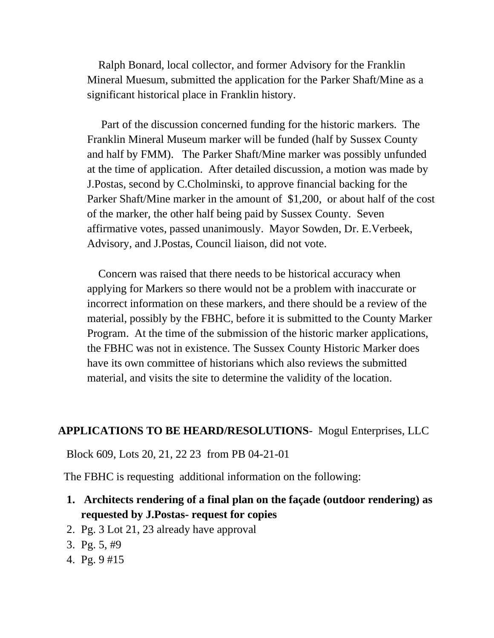Ralph Bonard, local collector, and former Advisory for the Franklin Mineral Muesum, submitted the application for the Parker Shaft/Mine as a significant historical place in Franklin history.

 Part of the discussion concerned funding for the historic markers. The Franklin Mineral Museum marker will be funded (half by Sussex County and half by FMM). The Parker Shaft/Mine marker was possibly unfunded at the time of application. After detailed discussion, a motion was made by J.Postas, second by C.Cholminski, to approve financial backing for the Parker Shaft/Mine marker in the amount of \$1,200, or about half of the cost of the marker, the other half being paid by Sussex County. Seven affirmative votes, passed unanimously. Mayor Sowden, Dr. E.Verbeek, Advisory, and J.Postas, Council liaison, did not vote.

 Concern was raised that there needs to be historical accuracy when applying for Markers so there would not be a problem with inaccurate or incorrect information on these markers, and there should be a review of the material, possibly by the FBHC, before it is submitted to the County Marker Program. At the time of the submission of the historic marker applications, the FBHC was not in existence. The Sussex County Historic Marker does have its own committee of historians which also reviews the submitted material, and visits the site to determine the validity of the location.

#### **APPLICATIONS TO BE HEARD/RESOLUTIONS**- Mogul Enterprises, LLC

Block 609, Lots 20, 21, 22 23 from PB 04-21-01

The FBHC is requesting additional information on the following:

- **1. Architects rendering of a final plan on the façade (outdoor rendering) as requested by J.Postas- request for copies**
- 2. Pg. 3 Lot 21, 23 already have approval
- 3. Pg. 5, #9
- 4. Pg. 9 #15